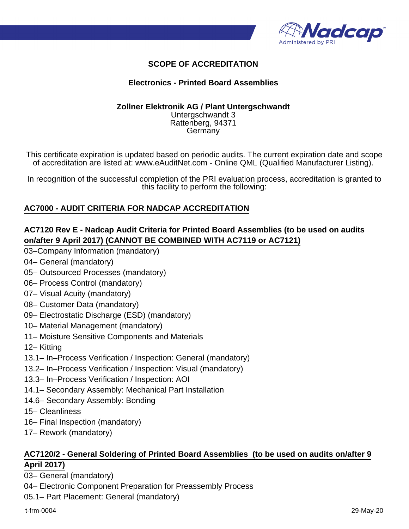

# **SCOPE OF ACCREDITATION**

#### **Electronics - Printed Board Assemblies**

#### **Zollner Elektronik AG / Plant Untergschwandt** Untergschwandt 3 Rattenberg, 94371 **Germany**

This certificate expiration is updated based on periodic audits. The current expiration date and scope of accreditation are listed at: www.eAuditNet.com - Online QML (Qualified Manufacturer Listing).

In recognition of the successful completion of the PRI evaluation process, accreditation is granted to this facility to perform the following:

## **AC7000 - AUDIT CRITERIA FOR NADCAP ACCREDITATION**

## **AC7120 Rev E - Nadcap Audit Criteria for Printed Board Assemblies (to be used on audits on/after 9 April 2017) (CANNOT BE COMBINED WITH AC7119 or AC7121)**

- 03–Company Information (mandatory)
- 04– General (mandatory)
- 05– Outsourced Processes (mandatory)
- 06– Process Control (mandatory)
- 07– Visual Acuity (mandatory)
- 08– Customer Data (mandatory)
- 09– Electrostatic Discharge (ESD) (mandatory)
- 10– Material Management (mandatory)
- 11– Moisture Sensitive Components and Materials
- 12– Kitting
- 13.1– In–Process Verification / Inspection: General (mandatory)
- 13.2– In–Process Verification / Inspection: Visual (mandatory)
- 13.3– In–Process Verification / Inspection: AOI
- 14.1– Secondary Assembly: Mechanical Part Installation
- 14.6– Secondary Assembly: Bonding
- 15– Cleanliness
- 16– Final Inspection (mandatory)
- 17– Rework (mandatory)

## **AC7120/2 - General Soldering of Printed Board Assemblies (to be used on audits on/after 9 April 2017)**

03– General (mandatory)

- 04– Electronic Component Preparation for Preassembly Process
- 05.1– Part Placement: General (mandatory)